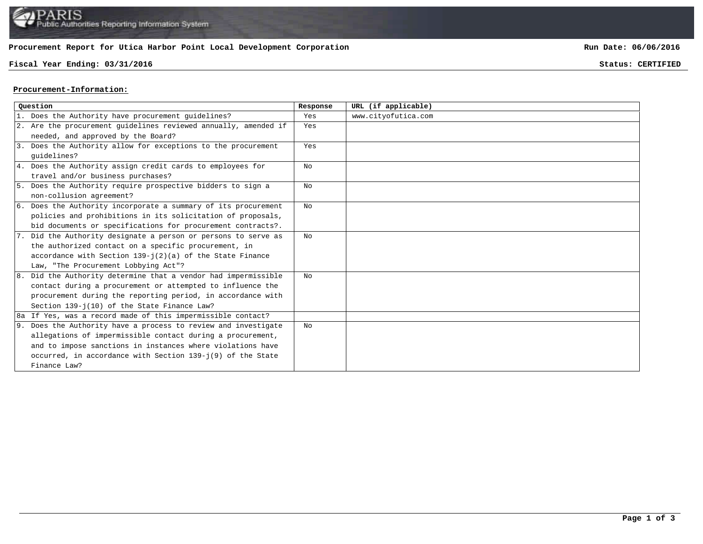

## **Procurement Report for Utica Harbor Point Local Development Corporation**

## **Fiscal Year Ending: 03/31/2016 Status: CERTIFIED**

**Run Date: 06/06/2016**

## **Procurement-Information:**

| Ouestion |                                                                 | Response | URL (if applicable) |
|----------|-----------------------------------------------------------------|----------|---------------------|
|          | 1. Does the Authority have procurement quidelines?              | Yes      | www.cityofutica.com |
|          | 2. Are the procurement guidelines reviewed annually, amended if | Yes      |                     |
|          | needed, and approved by the Board?                              |          |                     |
|          | 3. Does the Authority allow for exceptions to the procurement   | Yes      |                     |
|          | quidelines?                                                     |          |                     |
|          | 4. Does the Authority assign credit cards to employees for      | No       |                     |
|          | travel and/or business purchases?                               |          |                     |
|          | 5. Does the Authority require prospective bidders to sign a     | No       |                     |
|          | non-collusion agreement?                                        |          |                     |
|          | 6. Does the Authority incorporate a summary of its procurement  | No       |                     |
|          | policies and prohibitions in its solicitation of proposals,     |          |                     |
|          | bid documents or specifications for procurement contracts?.     |          |                     |
|          | 7. Did the Authority designate a person or persons to serve as  | No       |                     |
|          | the authorized contact on a specific procurement, in            |          |                     |
|          | accordance with Section $139 - j(2)(a)$ of the State Finance    |          |                     |
|          | Law, "The Procurement Lobbying Act"?                            |          |                     |
|          | 8. Did the Authority determine that a vendor had impermissible  | No       |                     |
|          | contact during a procurement or attempted to influence the      |          |                     |
|          | procurement during the reporting period, in accordance with     |          |                     |
|          | Section 139-j(10) of the State Finance Law?                     |          |                     |
|          | 8a If Yes, was a record made of this impermissible contact?     |          |                     |
|          | 9. Does the Authority have a process to review and investigate  | No       |                     |
|          | allegations of impermissible contact during a procurement,      |          |                     |
|          | and to impose sanctions in instances where violations have      |          |                     |
|          | occurred, in accordance with Section 139-j(9) of the State      |          |                     |
|          | Finance Law?                                                    |          |                     |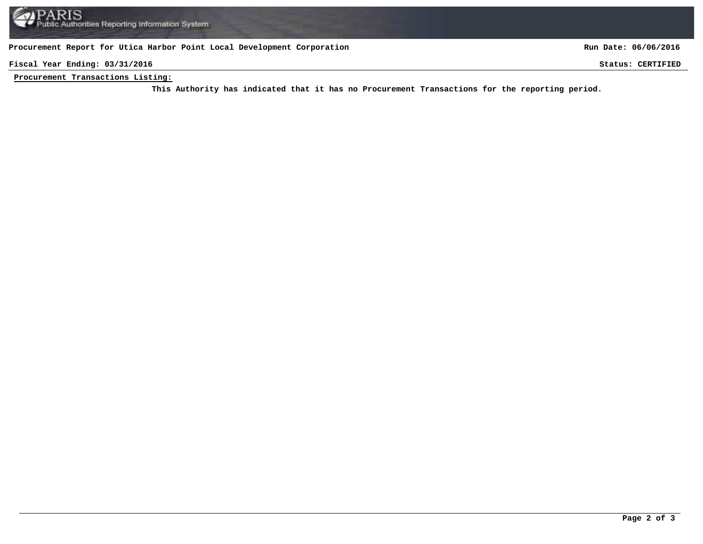**Procurement Report for Utica Harbor Point Local Development Corporation**

**Run Date: 06/06/2016**

**Fiscal Year Ending: 03/31/2016 Status: CERTIFIED**

**Procurement Transactions Listing:**

This Authority has indicated that it has no Procurement Transactions for the reporting period.